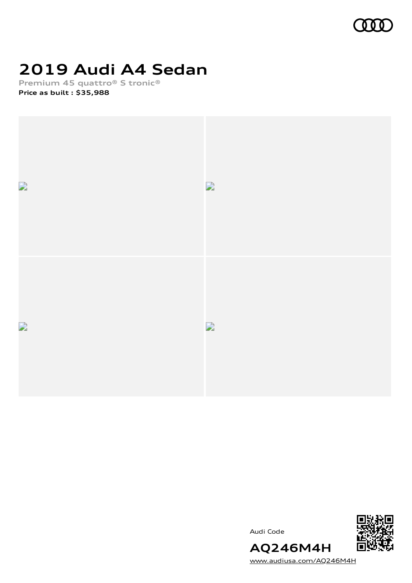

# **2019 Audi A4 Sedan**

**Premium 45 quattro® S tronic®**

**Price as built [:](#page-10-0) \$35,988**







[www.audiusa.com/AQ246M4H](https://www.audiusa.com/AQ246M4H)

**AQ246M4H**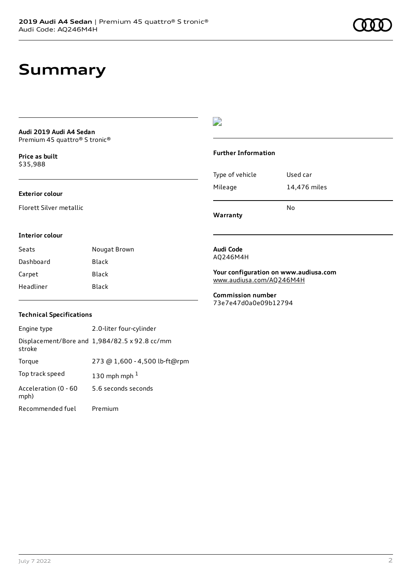## **Summary**

### **Audi 2019 Audi A4 Sedan** Premium 45 quattro® S tronic®

**Price as buil[t](#page-10-0)** \$35,988

### **Exterior colour**

Florett Silver metallic

### $\overline{\phantom{a}}$

#### **Further Information**

|                 | N٥           |
|-----------------|--------------|
| Mileage         | 14,476 miles |
| Type of vehicle | Used car     |

**Warranty**

#### **Interior colour**

Seats **Nougat Brown** Dashboard Black Carpet Black Headliner Black

### **Audi Code** AQ246M4H

**Your configuration on www.audiusa.com** [www.audiusa.com/AQ246M4H](https://www.audiusa.com/AQ246M4H)

**Commission number** 73e7e47d0a0e09b12794

### **Technical Specifications**

| Engine type                  | 2.0-liter four-cylinder                       |
|------------------------------|-----------------------------------------------|
| stroke                       | Displacement/Bore and 1,984/82.5 x 92.8 cc/mm |
| Torque                       | 273 @ 1,600 - 4,500 lb-ft@rpm                 |
| Top track speed              | 130 mph mph $1$                               |
| Acceleration (0 - 60<br>mph) | 5.6 seconds seconds                           |
| Recommended fuel             | Premium                                       |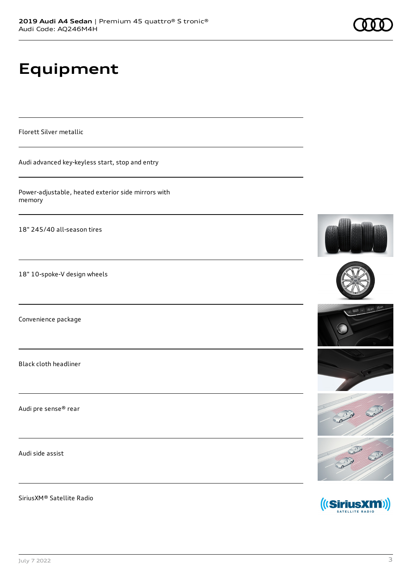# **Equipment**

Florett Silver metallic

Audi advanced key-keyless start, stop and entry

Power-adjustable, heated exterior side mirrors with memory

18" 245/40 all-season tires

18" 10-spoke-V design wheels

Convenience package

Black cloth headliner

Audi pre sense® rear

Audi side assist

SiriusXM® Satellite Radio











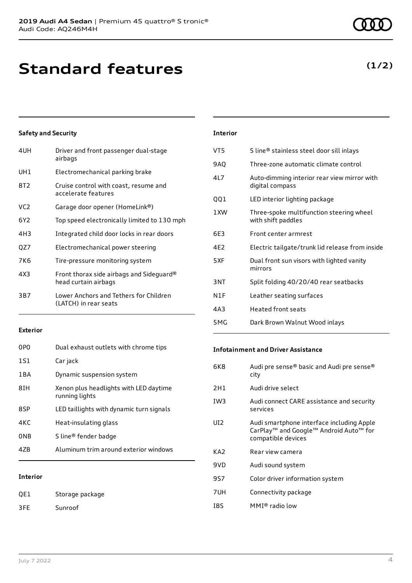# **Standard features**

### **Safety and Security**

| 4UH             | Driver and front passenger dual-stage<br>airbags                 |
|-----------------|------------------------------------------------------------------|
| UH1             | Electromechanical parking brake                                  |
| 8T2             | Cruise control with coast, resume and<br>accelerate features     |
| VC <sub>2</sub> | Garage door opener (HomeLink®)                                   |
| 6Y2             | Top speed electronically limited to 130 mph                      |
| 4H3             | Integrated child door locks in rear doors                        |
| QZ7             | Electromechanical power steering                                 |
| 7K6             | Tire-pressure monitoring system                                  |
| 4X3             | Front thorax side airbags and Sideguard®<br>head curtain airbags |
| 3B7             | Lower Anchors and Tethers for Children<br>(LATCH) in rear seats  |
|                 |                                                                  |

### **Exterior**

| 47B             | Aluminum trim around exterior windows                    |
|-----------------|----------------------------------------------------------|
| 0NB             | S line® fender badge                                     |
| 4KC             | Heat-insulating glass                                    |
| 8SP             | LED taillights with dynamic turn signals                 |
| 8TH             | Xenon plus headlights with LED daytime<br>running lights |
| 1 B A           | Dynamic suspension system                                |
| 1S1             | Car jack                                                 |
| 0P <sub>0</sub> | Dual exhaust outlets with chrome tips                    |

### **Interior**

QE1 Storage package 3FE Sunroof

| <b>Interior</b> |                                                                |
|-----------------|----------------------------------------------------------------|
| VT5             | S line® stainless steel door sill inlays                       |
| 9AQ             | Three-zone automatic climate control                           |
| 41 7            | Auto-dimming interior rear view mirror with<br>digital compass |
| QQ1             | LED interior lighting package                                  |
| 1 XW            | Three-spoke multifunction steering wheel<br>with shift paddles |
| 6F3             | Front center armrest                                           |
| 4F <sub>2</sub> | Electric tailgate/trunk lid release from inside                |
| 5XF             | Dual front sun visors with lighted vanity<br>mirrors           |
| 3NT             | Split folding 40/20/40 rear seatbacks                          |
| N1F             | Leather seating surfaces                                       |
| 4A3             | Heated front seats                                             |
|                 |                                                                |

### **Infotainment and Driver Assistance**

5MG Dark Brown Walnut Wood inlays

| 6K8             | Audi pre sense® basic and Audi pre sense®<br>city                                                                                             |
|-----------------|-----------------------------------------------------------------------------------------------------------------------------------------------|
| 2H1             | Audi drive select                                                                                                                             |
| IW <sub>3</sub> | Audi connect CARE assistance and security<br>services                                                                                         |
| UD.             | Audi smartphone interface including Apple<br>CarPlay <sup>™</sup> and Google <sup>™</sup> Android Auto <sup>™</sup> for<br>compatible devices |
| KA2             | Rear view camera                                                                                                                              |
| 9VD             | Audi sound system                                                                                                                             |
| 9S7             | Color driver information system                                                                                                               |
| 7UH             | Connectivity package                                                                                                                          |
| 18S             | MMI® radio low                                                                                                                                |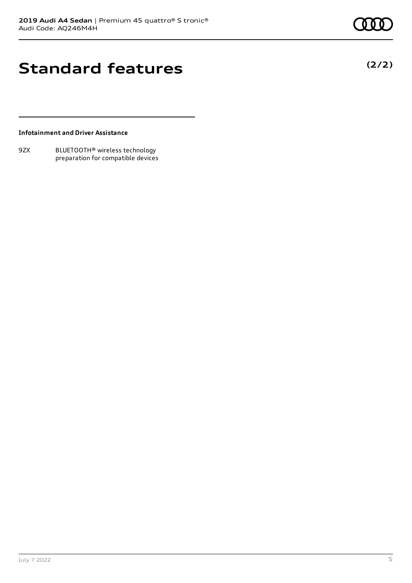**(2/2)**

# **Standard features**

**Infotainment and Driver Assistance**

9ZX BLUETOOTH® wireless technology preparation for compatible devices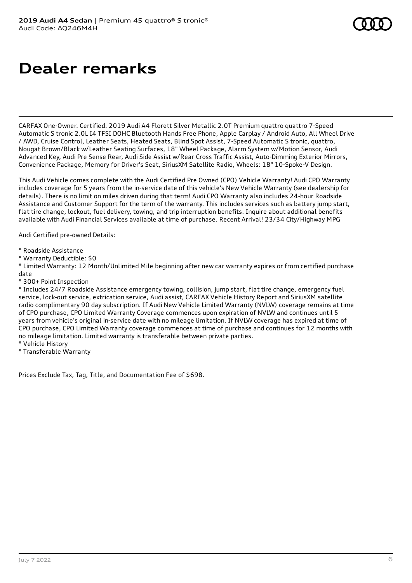# **Dealer remarks**

CARFAX One-Owner. Certified. 2019 Audi A4 Florett Silver Metallic 2.0T Premium quattro quattro 7-Speed Automatic S tronic 2.0L I4 TFSI DOHC Bluetooth Hands Free Phone, Apple Carplay / Android Auto, All Wheel Drive / AWD, Cruise Control, Leather Seats, Heated Seats, Blind Spot Assist, 7-Speed Automatic S tronic, quattro, Nougat Brown/Black w/Leather Seating Surfaces, 18" Wheel Package, Alarm System w/Motion Sensor, Audi Advanced Key, Audi Pre Sense Rear, Audi Side Assist w/Rear Cross Traffic Assist, Auto-Dimming Exterior Mirrors, Convenience Package, Memory for Driver's Seat, SiriusXM Satellite Radio, Wheels: 18" 10-Spoke-V Design.

This Audi Vehicle comes complete with the Audi Certified Pre Owned (CPO) Vehicle Warranty! Audi CPO Warranty includes coverage for 5 years from the in-service date of this vehicle's New Vehicle Warranty (see dealership for details). There is no limit on miles driven during that term! Audi CPO Warranty also includes 24-hour Roadside Assistance and Customer Support for the term of the warranty. This includes services such as battery jump start, flat tire change, lockout, fuel delivery, towing, and trip interruption benefits. Inquire about additional benefits available with Audi Financial Services available at time of purchase. Recent Arrival! 23/34 City/Highway MPG

Audi Certified pre-owned Details:

- \* Roadside Assistance
- \* Warranty Deductible: \$0

\* Limited Warranty: 12 Month/Unlimited Mile beginning after new car warranty expires or from certified purchase date

\* 300+ Point Inspection

\* Includes 24/7 Roadside Assistance emergency towing, collision, jump start, flat tire change, emergency fuel service, lock-out service, extrication service, Audi assist, CARFAX Vehicle History Report and SiriusXM satellite radio complimentary 90 day subscription. If Audi New Vehicle Limited Warranty (NVLW) coverage remains at time of CPO purchase, CPO Limited Warranty Coverage commences upon expiration of NVLW and continues until 5 years from vehicle's original in-service date with no mileage limitation. If NVLW coverage has expired at time of CPO purchase, CPO Limited Warranty coverage commences at time of purchase and continues for 12 months with no mileage limitation. Limited warranty is transferable between private parties.

- \* Vehicle History
- \* Transferable Warranty

Prices Exclude Tax, Tag, Title, and Documentation Fee of \$698.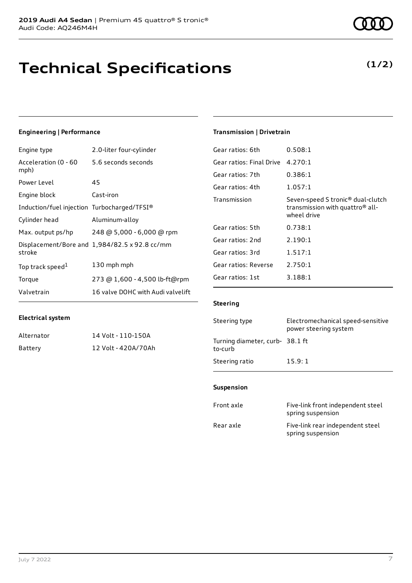# **Technical Specifications**

### **Engineering | Performance**

| Engine type                                 | 2.0-liter four-cylinder                       |
|---------------------------------------------|-----------------------------------------------|
| Acceleration (0 - 60<br>mph)                | 5.6 seconds seconds                           |
| Power Level                                 | 45                                            |
| Engine block                                | Cast-iron                                     |
| Induction/fuel injection Turbocharged/TFSI® |                                               |
| Cylinder head                               | Aluminum-alloy                                |
| Max. output ps/hp                           | 248 @ 5,000 - 6,000 @ rpm                     |
| stroke                                      | Displacement/Bore and 1,984/82.5 x 92.8 cc/mm |
| Top track speed <sup>1</sup>                | 130 mph mph                                   |
| Torque                                      | 273 @ 1,600 - 4,500 lb-ft@rpm                 |
| Valvetrain                                  | 16 valve DOHC with Audi valvelift             |

### **Electrical system**

| Alternator | 14 Volt - 110-150A  |
|------------|---------------------|
| Battery    | 12 Volt - 420A/70Ah |

### **Transmission | Drivetrain**

| Gear ratios: 6th         | 0.508:1                                                                                                     |
|--------------------------|-------------------------------------------------------------------------------------------------------------|
| Gear ratios: Final Drive | 4.270:1                                                                                                     |
| Gear ratios: 7th         | 0.386:1                                                                                                     |
| Gear ratios: 4th         | 1.057:1                                                                                                     |
| Transmission             | Seven-speed S tronic <sup>®</sup> dual-clutch<br>transmission with quattro <sup>®</sup> all-<br>wheel drive |
| Gear ratios: 5th         | 0.738:1                                                                                                     |
| Gear ratios: 2nd         | 2.190:1                                                                                                     |
| Gear ratios: 3rd         | 1.517:1                                                                                                     |
| Gear ratios: Reverse     | 2.750:1                                                                                                     |
| Gear ratios: 1st         | 3.188:1                                                                                                     |
|                          |                                                                                                             |

### **Steering**

| Steering type                             | Electromechanical speed-sensitive<br>power steering system |
|-------------------------------------------|------------------------------------------------------------|
| Turning diameter, curb-38.1 ft<br>to-curb |                                                            |
| Steering ratio                            | 15.9:1                                                     |

### **Suspension**

| Front axle | Five-link front independent steel<br>spring suspension |
|------------|--------------------------------------------------------|
| Rear axle  | Five-link rear independent steel<br>spring suspension  |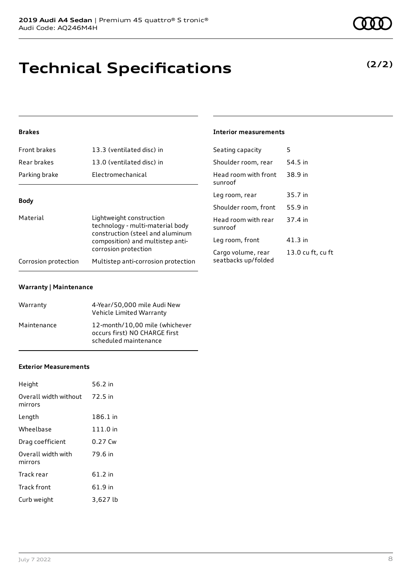# **Technical Specifications**

### **(2/2)**

### **Brakes**

| Front brakes                                                                                     | 13.3 (ventilated disc) in           | Seating capacity                | 5       |
|--------------------------------------------------------------------------------------------------|-------------------------------------|---------------------------------|---------|
| Rear brakes                                                                                      | 13.0 (ventilated disc) in           | Shoulder room, rear             | 54.5 in |
| Parking brake                                                                                    | Electromechanical                   | Head room with front<br>sunroof | 38.9 in |
|                                                                                                  |                                     | Leg room, rear                  | 35.7 in |
| <b>Body</b>                                                                                      |                                     | Shoulder room, front            | 55.9 in |
| Material<br>Lightweight construction<br>construction (steel and aluminum<br>corrosion protection | technology - multi-material body    | Head room with rear<br>sunroof  | 37.4 in |
|                                                                                                  | composition) and multistep anti-    | Leg room, front                 | 41.3 in |
|                                                                                                  |                                     | Cargo volume, rear              | 13.0 cu |
| Corrosion protection                                                                             | Multistep anti-corrosion protection | seatbacks up/folded             |         |

**Interior measurements**

13.0 cu ft, cu ft

#### **Warranty | Maintenance**

| Warranty    | 4-Year/50,000 mile Audi New<br>Vehicle Limited Warranty                                  |
|-------------|------------------------------------------------------------------------------------------|
| Maintenance | 12-month/10,00 mile (whichever<br>occurs first) NO CHARGE first<br>scheduled maintenance |

#### **Exterior Measurements**

| Height                           | 56.2 in  |
|----------------------------------|----------|
| Overall width without<br>mirrors | 72.5 in  |
| Length                           | 186.1 in |
| Wheelbase                        | 111.0 in |
| Drag coefficient                 | 0.27 Cw  |
| Overall width with<br>mirrors    | 79.6 in  |
| Track rear                       | 61.2 in  |
| Track front                      | 61.9 in  |
| Curb weight                      | 3,627 lb |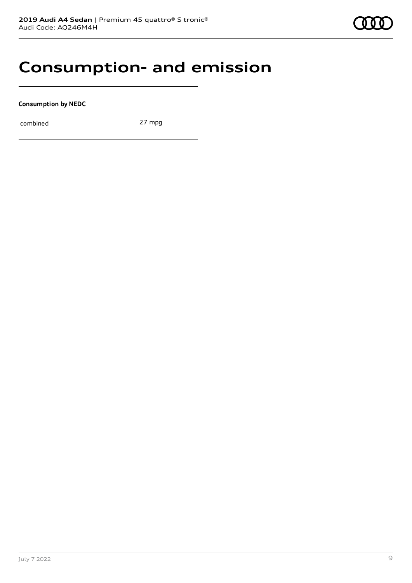### **Consumption- and emission**

**Consumption by NEDC**

combined 27 mpg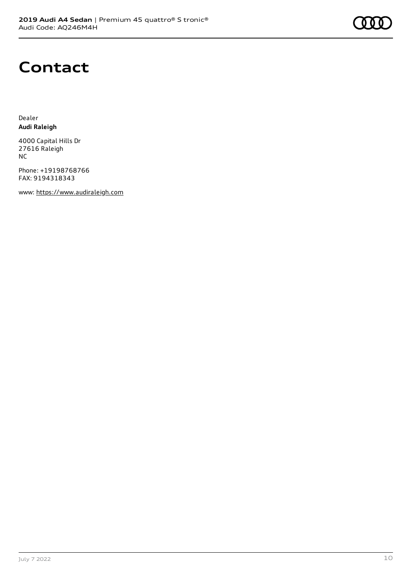## **Contact**

Dealer **Audi Raleigh**

4000 Capital Hills Dr 27616 Raleigh NC

Phone: +19198768766 FAX: 9194318343

www: [https://www.audiraleigh.com](https://www.audiraleigh.com/)